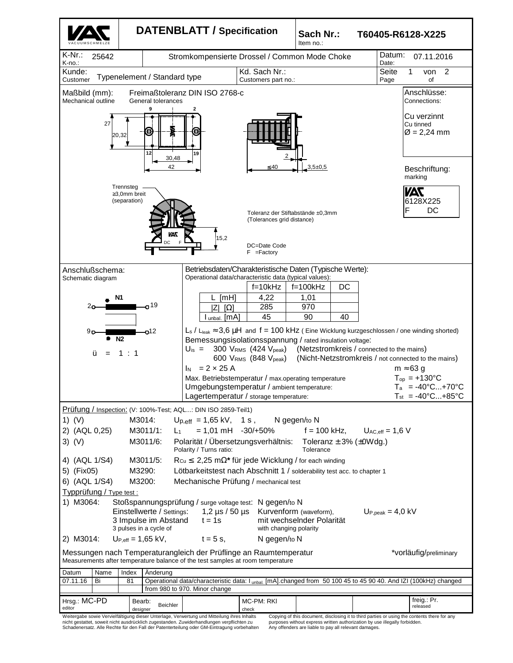

nicht gestattet, soweit nicht ausdrücklich zugestanden. Zuwiderhandlungen verpflichten zu Schadenersatz. Alle Rechte für den Fall der Patenterteilung oder GM-Eintragung vorbehalten

purposes without express written authorization by use illegally forbidden. Any offenders are liable to pay all relevant damages.